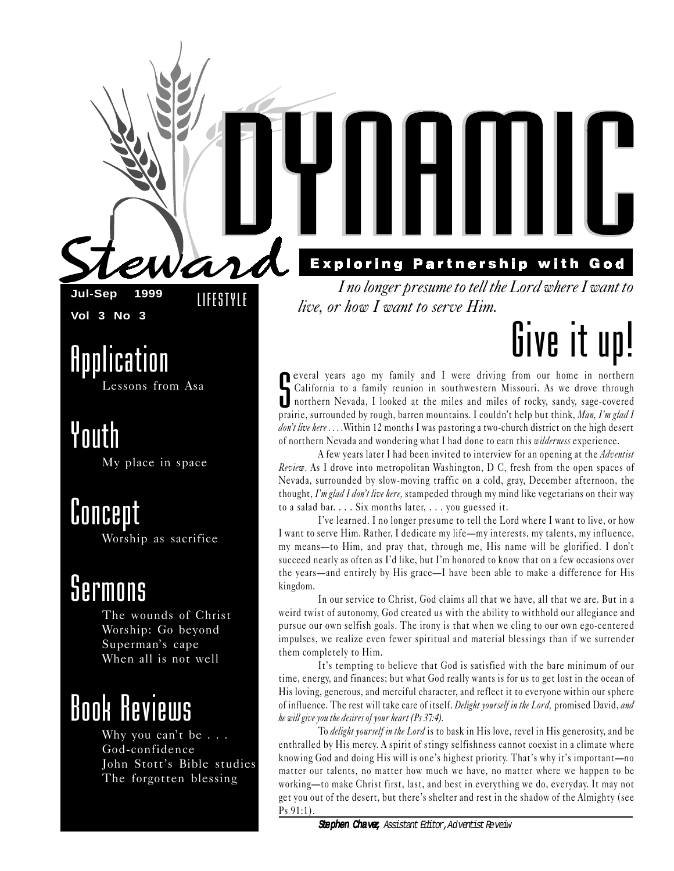$\boldsymbol{a}$ 

**Jul-Sep 1999 Vol 3 No 3**

LIFESTYLE

Application Lessons from Asa

Youth

My place in space

Concept Worship as sacrifice

### Sermons

The wounds of Christ Worship: Go beyond Superman's cape When all is not well

### Book Reviews

Why you can't be  $\ldots$ God-confidence John Stott's Bible studies The forgotten blessing

**Exploring Partnership with God** 

I no longer presume to tell the Lord where I want to live, or how I want to serve Him.

## Give it up!

**C** everal years ago my family and I were driving from our home in northern California to a family reunion in southwestern Missouri. As we drove through northern Nevada, I looked at the miles and miles of rocky, sandy, sag California to a family reunion in southwestern Missouri. As we drove through northern Nevada, I looked at the miles and miles of rocky, sandy, sage-covered prairie, surrounded by rough, barren mountains. I couldn't help but think, Man, I'm glad I don't live here ....Within 12 months I was pastoring a two-church district on the high desert of northern Nevada and wondering what I had done to earn this *wilderness* experience.

A few years later I had been invited to interview for an opening at the *Adventist* Review. As I drove into metropolitan Washington, D C, fresh from the open spaces of Nevada, surrounded by slow-moving traffic on a cold, gray, December afternoon, the thought, I'm glad I don't live here, stampeded through my mind like vegetarians on their way to a salad bar. . . . Six months later, . . . you guessed it.

Ive learned. I no longer presume to tell the Lord where I want to live, or how I want to serve Him. Rather, I dedicate my lifemy interests, my talents, my influence, my means—to Him, and pray that, through me, His name will be glorified. I don't succeed nearly as often as I'd like, but I'm honored to know that on a few occasions over the years—and entirely by His grace—I have been able to make a difference for His kingdom.

In our service to Christ, God claims all that we have, all that we are. But in a weird twist of autonomy, God created us with the ability to withhold our allegiance and pursue our own selfish goals. The irony is that when we cling to our own ego-centered impulses, we realize even fewer spiritual and material blessings than if we surrender them completely to Him.

It's tempting to believe that God is satisfied with the bare minimum of our time, energy, and finances; but what God really wants is for us to get lost in the ocean of His loving, generous, and merciful character, and reflect it to everyone within our sphere of influence. The rest will take care of itself. *Delight yourself in the Lord*, promised David, and he will give you the desires of your heart (Ps 37:4).

To delight yourself in the Lord is to bask in His love, revel in His generosity, and be enthralled by His mercy. A spirit of stingy selfishness cannot coexist in a climate where knowing God and doing His will is one's highest priority. That's why it's important—no matter our talents, no matter how much we have, no matter where we happen to be working—to make Christ first, last, and best in everything we do, everyday. It may not get you out of the desert, but there's shelter and rest in the shadow of the Almighty (see Ps 91:1).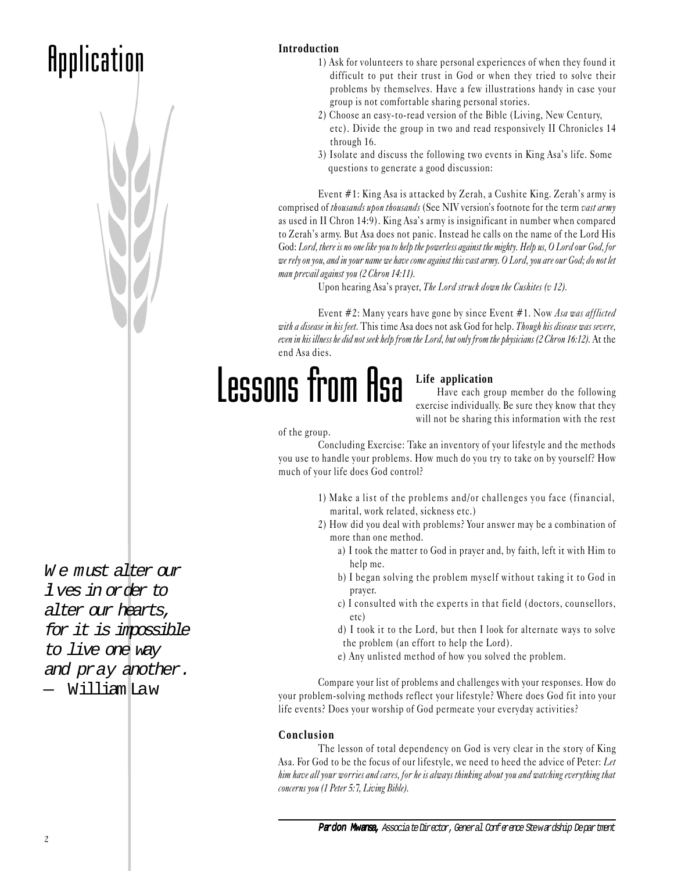### **Application**



**Introduction**

- 1) Ask for volunteers to share personal experiences of when they found it difficult to put their trust in God or when they tried to solve their problems by themselves. Have a few illustrations handy in case your group is not comfortable sharing personal stories.
- 2) Choose an easy-to -read version of the Bible (Living, New Century, etc). Divide the group in two and read responsively II Chronicles 14 through 16.
- 3) Isolate and discuss the following two events in King Asa's life. Some questions to generate a good discussion:

Event  $#1$ : King Asa is attacked by Zerah, a Cushite King. Zerah's army is comprised of thousands upon thousands (See NIV version's footnote for the term vast army as used in II Chron 14:9). King Asa's army is insignificant in number when compared to Zerah's army. But Asa does not panic. Instead he calls on the name of the Lord His God: Lord, there is no one like you to help the powerless against the mighty. Help us, O Lord our God, for we rely on you, and in your name we have come against this vast army. O Lord, you are our God; do not let man prevail against you (2 Chron 14:11).

Upon hearing Asa's prayer, The Lord struck down the Cushites (v 12).

Event #2: Many years have gone by since Event #1. Now Asa was afflicted with a disease in his feet. This time Asa does not ask God for help. Though his disease was severe, even in his illness he did not seek help from the Lord, but only from the physicians (2 Chron 16:12). At the end Asa dies.

## Lessons from Asa

#### **Life application**

Have each group member do the following exercise individually. Be sure they know that they will not be sharing this information with the rest

#### of the group.

Concluding Exercise: Take an inventory of your lifestyle and the methods you use to handle your problems. How much do you try to take on by yourself? How much of your life does God control?

- 1) Make a list of the problems and/or challenges you face (financial, marital, work related, sickness etc.)
- 2) How did you deal with problems? Your answer may be a combination of more than one method.
	- a) I took the matter to God in prayer and, by faith, left it with Him to help me.
	- b) I began solving the problem myself without taking it to God in prayer.
	- c) I consulted with the experts in that field (doctors, counsellors, etc)
	- d) I took it to the Lord, but then I look for alternate ways to solve the problem (an effort to help the Lord).
	- e) Any unlisted method of how you solved the problem.

Compare your list of problems and challenges with your responses. How do your problem-solving methods reflect your lifestyle? Where does God fit into your life events? Does your worship of God permeate your everyday activities?

#### **Conclusion**

The lesson of total dependency on God is very clear in the story of King Asa. For God to be the focus of our lifestyle, we need to heed the advice of Peter: Let him have all your worries and cares, for he is always thinking about you and watching everything that concerns you (1 Peter 5:7, Living Bible).

W e must alter our lives in order to alter our hearts, for it is impossible to live one way and pray another. — William Law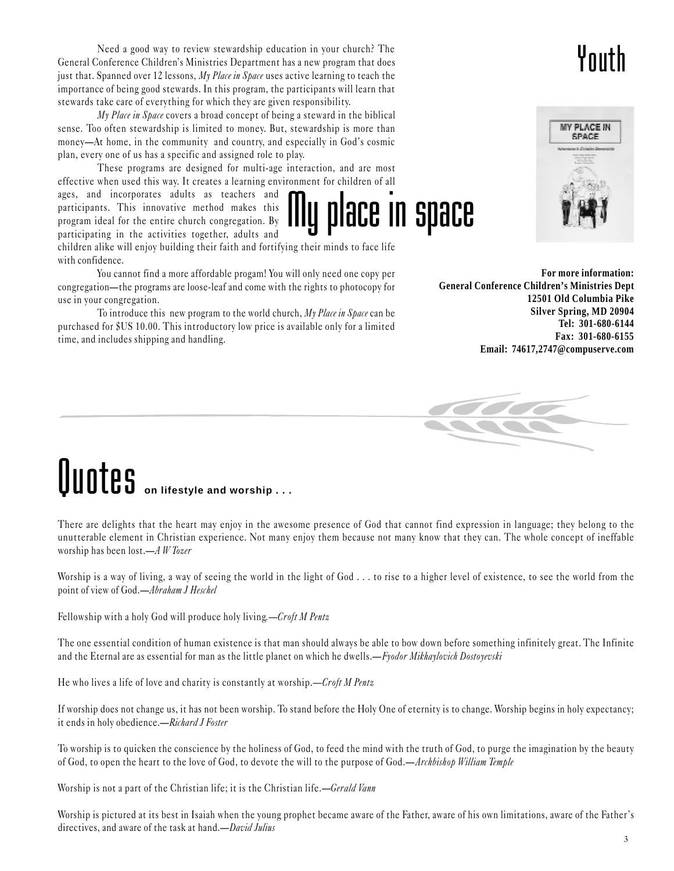Need a good way to review stewardship education in your church? The General Conference Children's Ministries Department has a new program that does just that. Spanned over 12 lessons,  $My$  *Place in Space* uses active learning to teach the importance of being good stewards. In this program, the participants will learn that stewards take care of everything for which they are given responsibility.

My Place in Space covers a broad concept of being a steward in the biblical sense. Too often stewardship is limited to money. But, stewardship is more than money—At home, in the community and country, and especially in God's cosmic plan, every one of us has a specific and assigned role to play.

These programs are designed for multi-age interaction, and are most effective when used this way. It creates a learning environment for children of all

ages, and incorporates adults as teachers and participants. This innovative method makes this program ideal for the entire church congregation. By participating in the activities together, adults and

children alike will enjoy building their faith and fortifying their minds to face life with confidence.

You cannot find a more affordable progam! You will only need one copy per congregation—the programs are loose-leaf and come with the rights to photocopy for use in your congregation.

To introduce this new program to the world church,  $My$  *Place in Space* can be purchased for \$US 10.00. This introductory low price is available only for a limited time, and includes shipping and handling.

**For more information: General Conference Children's Ministries Dept 12501 Old Columbia Pike Silver Spring, MD 20904 Tel: 301-680-6144 Fax: 301-680-6155 Email: 74617,2747@compuserve.com**

place in space

## **Quotes** on lifestyle and worship . . .

There are delights that the heart may enjoy in the awesome presence of God that cannot find expression in language; they belong to the unutterable element in Christian experience. Not many enjoy them because not many know that they can. The whole concept of ineffable worship has been lost. $-A W T_{0z}er$ 

Worship is a way of living, a way of seeing the world in the light of God . . . to rise to a higher level of existence, to see the world from the point of view of God.—Abraham J Heschel

Fellowship with a holy God will produce holy living.—Croft M Pentz

The one essential condition of human existence is that man should always be able to bow down before something infinitely great. The Infinite and the Eternal are as essential for man as the little planet on which he dwells.—Fyodor Mikhaylovich Dostoyevski

He who lives a life of love and charity is constantly at worship. $\frac{-C\text{roft} M \text{Pentz}}{2}$ 

If worship does not change us, it has not been worship. To stand before the Holy One of eternity is to change. Worship begins in holy expectancy; it ends in holy obedience.—Richard J Foster

To worship is to quicken the conscience by the holiness of God, to feed the mind with the truth of God, to purge the imagination by the beauty of God, to open the heart to the love of God, to devote the will to the purpose of God.—Archbishop William Temple

Worship is not a part of the Christian life; it is the Christian life.—Gerald Vann

Worship is pictured at its best in Isaiah when the young prophet became aware of the Father, aware of his own limitations, aware of the Father's directives, and aware of the task at hand.—*David Julius* 

### Youth

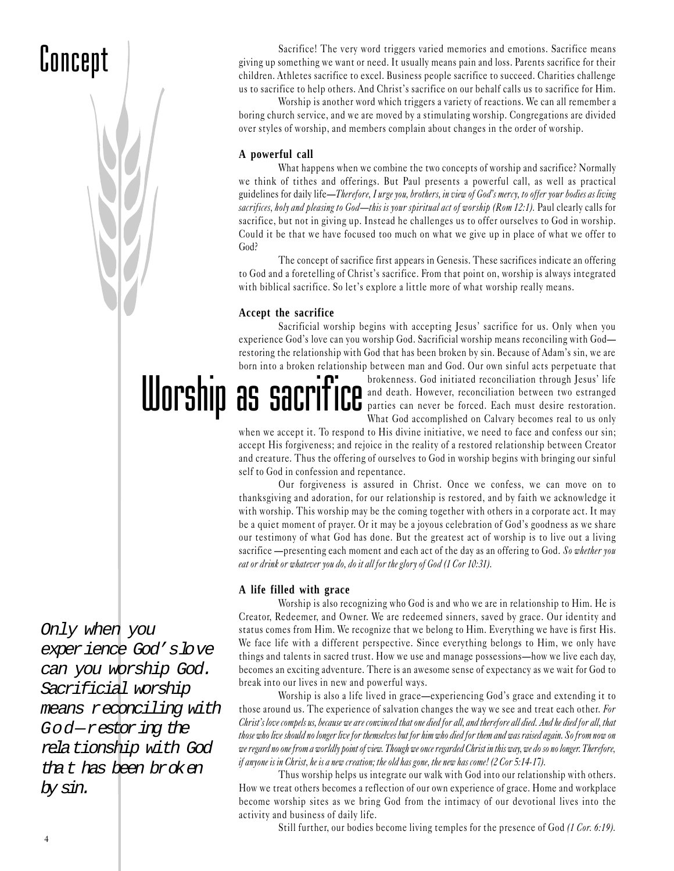### Concept

Sacrifice! The very word triggers varied memories and emotions. Sacrifice means giving up something we want or need. It usually means pain and loss. Parents sacrifice for their children. Athletes sacrifice to excel. Business people sacrifice to succeed. Charities challenge us to sacrifice to help others. And Christ's sacrifice on our behalf calls us to sacrifice for Him.

Worship is another word which triggers a variety of reactions. We can all remember a boring church service, and we are moved by a stimulating worship. Congregations are divided over styles of worship, and members complain about changes in the order of worship.

#### **A powerful call**

What happens when we combine the two concepts of worship and sacrifice? Normally we think of tithes and offerings. But Paul presents a powerful call, as well as practical guidelines for daily life—Therefore, I urge you, brothers, in view of God's mercy, to offer your bodies as living sacrifices, holy and pleasing to God—this is your spiritual act of worship (Rom 12:1). Paul clearly calls for sacrifice, but not in giving up. Instead he challenges us to offer ourselves to God in worship. Could it be that we have focused too much on what we give up in place of what we offer to God?

The concept of sacrifice first appears in Genesis. These sacrifices indicate an offering to God and a foretelling of Christ's sacrifice. From that point on, worship is always integrated with biblical sacrifice. So let's explore a little more of what worship really means.

#### **Accept the sacrifice**

Sacrificial worship begins with accepting Jesus' sacrifice for us. Only when you experience God's love can you worship God. Sacrificial worship means reconciling with God restoring the relationship with God that has been broken by sin. Because of Adam's sin, we are born into a broken relationship between man and God. Our own sinful acts perpetuate that

ER SALLET THE DESCRIPTION AND STATED TO A DESCRIPTION OF A DESCRIPTION OF A DESCRIPTION OF A DESCRIPTION OF A DESCRIPTION OF A DESCRIPTION OF A DESCRIPTION OF A DESCRIPTION OF A DESCRIPTION OF A DESCRIPTION OF A DESCRIPTIO and death. However, reconciliation between two estranged parties can never be forced. Each must desire restoration. What God accomplished on Calvary becomes real to us only

when we accept it. To respond to His divine initiative, we need to face and confess our sin; accept His forgiveness; and rejoice in the reality of a restored relationship between Creator and creature. Thus the offering of ourselves to God in worship begins with bringing our sinful self to God in confession and repentance.

Our forgiveness is assured in Christ. Once we confess, we can move on to thanksgiving and adoration, for our relationship is restored, and by faith we acknowledge it with worship. This worship may be the coming together with others in a corporate act. It may be a quiet moment of prayer. Or it may be a joyous celebration of God's goodness as we share our testimony of what God has done. But the greatest act of worship is to live out a living sacrifice —presenting each moment and each act of the day as an offering to God. So whether you eat or drink or whatever you do, do it all for the glory of God (1 Cor 10:31).

#### **A life filled with grace**

Worship is also recognizing who God is and who we are in relationship to Him. He is Creator, Redeemer, and Owner. We are redeemed sinners, saved by grace. Our identity and status comes from Him. We recognize that we belong to Him. Everything we have is first His. We face life with a different perspective. Since everything belongs to Him, we only have things and talents in sacred trust. How we use and manage possessions—how we live each day, becomes an exciting adventure. There is an awesome sense of expectancy as we wait for God to break into our lives in new and powerful ways.

Worship is also a life lived in grace—experiencing God's grace and extending it to those around us. The experience of salvation changes the way we see and treat each other. For Christ's love compels us, because we are convinced that one died for all, and therefore all died. And he died for all, that those who live should no longer live for themselves but for him who died for them and was raised again. So from now on we regard no one from a worldly point of view. Though we once regarded Christ in this way, we do so no longer. Therefore, if anyone is in Christ, he is a new creation; the old has gone, the new has come! (2 Cor 5:14-17).

Thus worship helps us integrate our walk with God into our relationship with others. How we treat others becomes a reflection of our own experience of grace. Home and workplace become worship sites as we bring God from the intimacy of our devotional lives into the activity and business of daily life.

Still further, our bodies become living temples for the presence of God (1 Cor. 6:19).

Only when you experience God'slove can you worship God. Sacrificial worship means reconciling with God-restoring the relationship with God that has been broken by sin.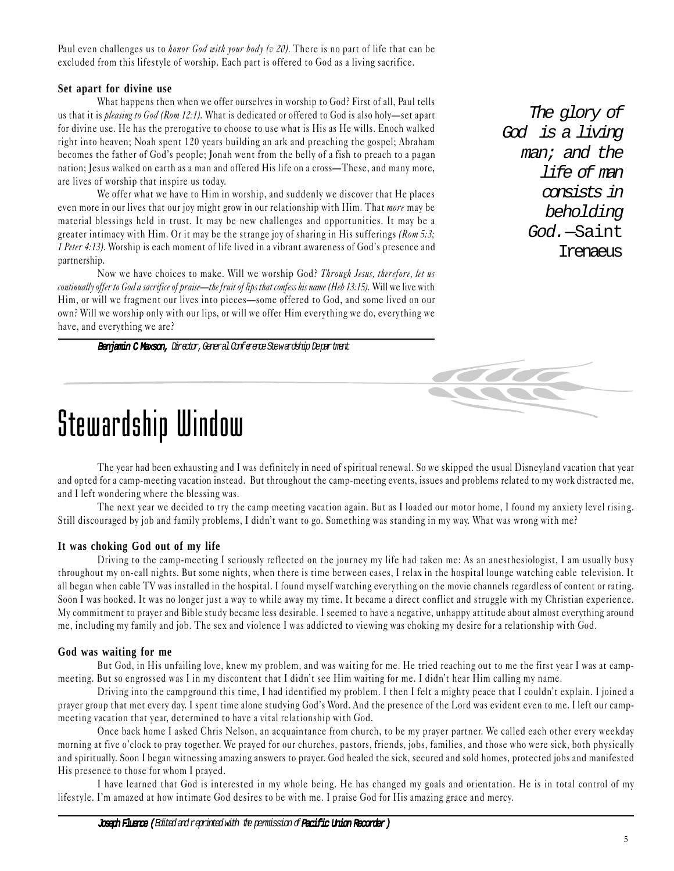Paul even challenges us to *honor God with your body (v 20)*. There is no part of life that can be excluded from this lifestyle of worship. Each part is offered to God as a living sacrifice.

#### **Set apart for divine use**

What happens then when we offer ourselves in worship to God? First of all, Paul tells us that it is pleasing to God (Rom 12:1). What is dedicated or offered to God is also holy-set apart for divine use. He has the prerogative to choose to use what is His as He wills. Enoch walked right into heaven; Noah spent 120 years building an ark and preaching the gospel; Abraham becomes the father of God's people; Jonah went from the belly of a fish to preach to a pagan nation; Jesus walked on earth as a man and offered His life on a cross—These, and many more, are lives of worship that inspire us today.

We offer what we have to Him in worship, and suddenly we discover that He places even more in our lives that our joy might grow in our relationship with Him. That *more* may be material blessings held in trust. It may be new challenges and opportunities. It may be a greater intimacy with Him. Or it may be the strange joy of sharing in His sufferings ( $Rom\ 5:3;$ 1 Peter 4:13). Worship is each moment of life lived in a vibrant awareness of God's presence and partnership.

Now we have choices to make. Will we worship God? Through Jesus, therefore, let us continually offer to God a sacrifice of praise—the fruit of lips that confess his name (Heb 13:15). Will we live with Him, or will we fragment our lives into pieces—some offered to God, and some lived on our own? Will we worship only with our lips, or will we offer Him everything we do, everything we have, and everything we are?

Benjamin C Maxson, Director, General Conference Stewardship Department

The glory of God is a living man; and the life of man consists in beholding God.—Saint Irenaeus



### Stewardship Window

The year had been exhausting and I was definitely in need of spiritual renewal. So we skipped the usual Disneyland vacation that year and opted for a camp-meeting vacation instead. But throughout the camp-meeting events, issues and problems related to my work distracted me, and I left wondering where the blessing was.

The next year we decided to try the camp meeting vacation again. But as I loaded our motor home, I found my anxiety level risin g. Still discouraged by job and family problems, I didn't want to go. Something was standing in my way. What was wrong with me?

#### **It was choking God out of my life**

Driving to the camp-meeting I seriously reflected on the journey my life had taken me: As an anesthesiologist, I am usually bus y throughout my on-call nights. But some nights, when there is time between cases, I relax in the hospital lounge watching cable television. It all began when cable TV was installed in the hospital. I found myself watching everything on the movie channels regardless of content or rating. Soon I was hooked. It was no longer just a way to while away my time. It became a direct conflict and struggle with my Christian experience. My commitment to prayer and Bible study became less desirable. I seemed to have a negative, unhappy attitude about almost everything around me, including my family and job. The sex and violence I was addicted to viewing was choking my desire for a relationship with God.

#### **God was waiting for me**

But God, in His unfailing love, knew my problem, and was waiting for me. He tried reaching out to me the first year I was at campmeeting. But so engrossed was I in my discontent that I didn't see Him waiting for me. I didn't hear Him calling my name.

Driving into the campground this time, I had identified my problem. I then I felt a mighty peace that I couldn't explain. I joined a prayer group that met every day. I spent time alone studying God's Word. And the presence of the Lord was evident even to me. I left our campmeeting vacation that year, determined to have a vital relationship with God.

Once back home I asked Chris Nelson, an acquaintance from church, to be my prayer partner. We called each other every weekday morning at five o'clock to pray together. We prayed for our churches, pastors, friends, jobs, families, and those who were sick, both physically and spiritually. Soon I began witnessing amazing answers to prayer. God healed the sick, secured and sold homes, protected jobs and manifested His presence to those for whom I prayed.

I have learned that God is interested in my whole being. He has changed my goals and orientation. He is in total control of my lifestyle. I'm amazed at how intimate God desires to be with me. I praise God for His amazing grace and mercy.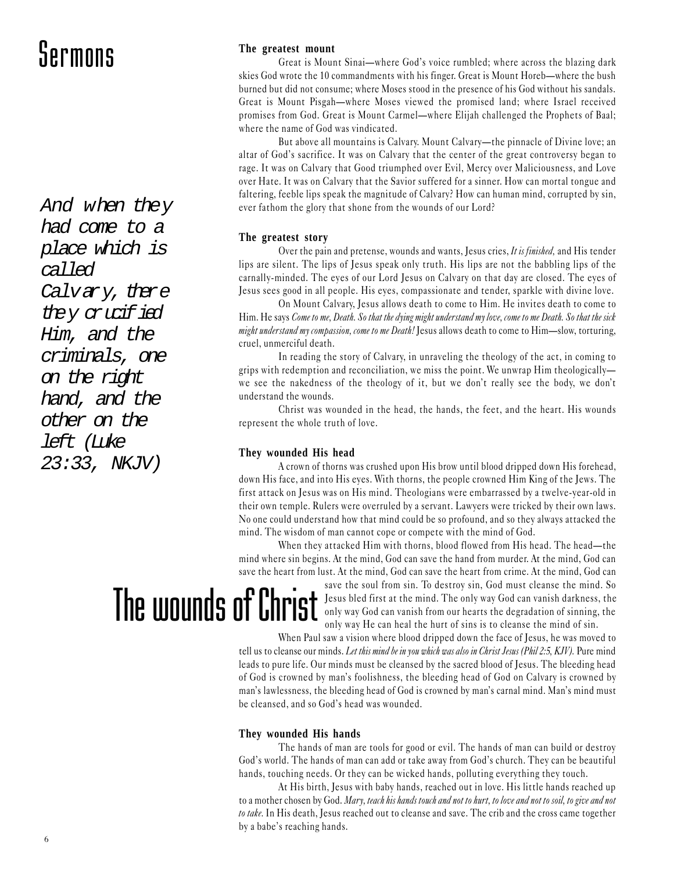### Sermons

And when they had come to a place which is called Calvary, there they crucified Him, and the criminals, one on the right hand, and the other on the left (Luke 23:33, NKJV)

#### **The greatest mount**

Great is Mount Sinai—where God's voice rumbled; where across the blazing dark skies God wrote the 10 commandments with his finger. Great is Mount Horeb—where the bush burned but did not consume; where Moses stood in the presence of his God without his sandals. Great is Mount Pisgah—where Moses viewed the promised land; where Israel received promises from God. Great is Mount Carmel—where Elijah challenged the Prophets of Baal; where the name of God was vindicated.

But above all mountains is Calvary. Mount Calvary—the pinnacle of Divine love; an altar of God's sacrifice. It was on Calvary that the center of the great controversy began to rage. It was on Calvary that Good triumphed over Evil, Mercy over Maliciousness, and Love over Hate. It was on Calvary that the Savior suffered for a sinner. How can mortal tongue and faltering, feeble lips speak the magnitude of Calvary? How can human mind, corrupted by sin, ever fathom the glory that shone from the wounds of our Lord?

#### **The greatest story**

Over the pain and pretense, wounds and wants, Jesus cries, It is finished, and His tender lips are silent. The lips of Jesus speak only truth. His lips are not the babbling lips of the carnally-minded. The eyes of our Lord Jesus on Calvary on that day are closed. The eyes of Jesus sees good in all people. His eyes, compassionate and tender, sparkle with divine love.

On Mount Calvary, Jesus allows death to come to Him. He invites death to come to Him. He says Come to me, Death. So that the dying might understand my love, come to me Death. So that the sick might understand my compassion, come to me Death! Jesus allows death to come to  $\text{Him}-\text{slow},$  torturing, cruel, unmerciful death.

In reading the story of Calvary, in unraveling the theology of the act, in coming to grips with redemption and reconciliation, we miss the point. We unwrap Him theologically we see the nakedness of the theology of it, but we don't really see the body, we don't understand the wounds.

Christ was wounded in the head, the hands, the feet, and the heart. His wounds represent the whole truth of love.

#### **They wounded His head**

A crown of thorns was crushed upon His brow until blood dripped down His forehead, down His face, and into His eyes. With thorns, the people crowned Him King of the Jews. The first attack on Jesus was on His mind. Theologians were embarrassed by a twelve-year-old in their own temple. Rulers were overruled by a servant. Lawyers were tricked by their own laws. No one could understand how that mind could be so profound, and so they always attacked the mind. The wisdom of man cannot cope or compete with the mind of God.

When they attacked Him with thorns, blood flowed from His head. The head—the mind where sin begins. At the mind, God can save the hand from murder. At the mind, God can save the heart from lust. At the mind, God can save the heart from crime. At the mind, God can

## The wounds of Christ

save the soul from sin. To destroy sin, God must cleanse the mind. So Jesus bled first at the mind. The only way God can vanish darkness, the only way God can vanish from our hearts the degradation of sinning, the only way He can heal the hurt of sins is to cleanse the mind of sin.

When Paul saw a vision where blood dripped down the face of Jesus, he was moved to tell us to cleanse our minds. Let this mind be in you which was also in Christ Jesus (Phil 2:5, KJV). Pure mind leads to pure life. Our minds must be cleansed by the sacred blood of Jesus. The bleeding head of God is crowned by man's foolishness, the bleeding head of God on Calvary is crowned by man's lawlessness, the bleeding head of God is crowned by man's carnal mind. Man's mind must be cleansed, and so God's head was wounded.

#### **They wounded His hands**

The hands of man are tools for good or evil. The hands of man can build or destroy God's world. The hands of man can add or take away from God's church. They can be beautiful hands, touching needs. Or they can be wicked hands, polluting everything they touch.

At His birth, Jesus with baby hands, reached out in love. His little hands reached up to a mother chosen by God. Mary, teach his hands touch and not to hurt, to love and not to soil, to give and not to take. In His death, Jesus reached out to cleanse and save. The crib and the cross came together by a babe's reaching hands.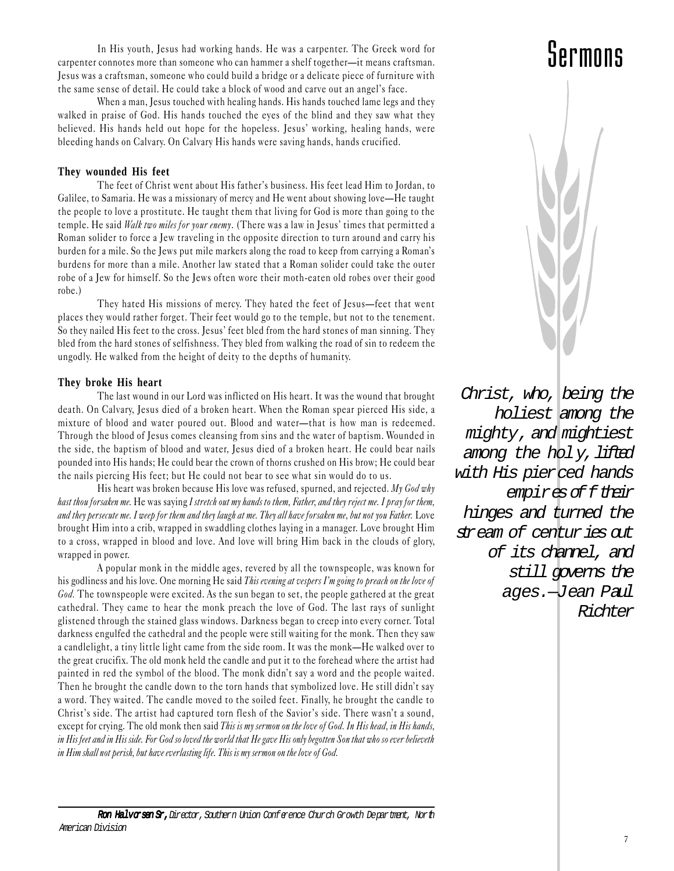In His youth, Jesus had working hands. He was a carpenter. The Greek word for carpenter connotes more than someone who can hammer a shelf together—it means craftsman. Jesus was a craftsman, someone who could build a bridge or a delicate piece of furniture with the same sense of detail. He could take a block of wood and carve out an angel's face.

When a man, Jesus touched with healing hands. His hands touched lame legs and they walked in praise of God. His hands touched the eyes of the blind and they saw what they believed. His hands held out hope for the hopeless. Jesus' working, healing hands, were bleeding hands on Calvary. On Calvary His hands were saving hands, hands crucified.

#### **They wounded His feet**

The feet of Christ went about His father's business. His feet lead Him to Jordan, to Galilee, to Samaria. He was a missionary of mercy and He went about showing love—He taught the people to love a prostitute. He taught them that living for God is more than going to the temple. He said Walk two miles for your enemy. (There was a law in Jesus' times that permitted a Roman solider to force a Jew traveling in the opposite direction to turn around and carry his burden for a mile. So the Jews put mile markers along the road to keep from carrying a Roman's burdens for more than a mile. Another law stated that a Roman solider could take the outer robe of a Jew for himself. So the Jews often wore their moth-eaten old robes over their good robe.)

They hated His missions of mercy. They hated the feet of Jesus-feet that went places they would rather forget. Their feet would go to the temple, but not to the tenement. So they nailed His feet to the cross. Jesus' feet bled from the hard stones of man sinning. They bled from the hard stones of selfishness. They bled from walking the road of sin to redeem the ungodly. He walked from the height of deity to the depths of humanity.

#### **They broke His heart**

The last wound in our Lord was inflicted on His heart. It was the wound that brought death. On Calvary, Jesus died of a broken heart. When the Roman spear pierced His side, a mixture of blood and water poured out. Blood and water-that is how man is redeemed. Through the blood of Jesus comes cleansing from sins and the water of baptism. Wounded in the side, the baptism of blood and water, Jesus died of a broken heart. He could bear nails pounded into His hands; He could bear the crown of thorns crushed on His brow; He could bear the nails piercing His feet; but He could not bear to see what sin would do to us.

His heart was broken because His love was refused, spurned, and rejected. My God why hast thou forsaken me. He was saying I stretch out my hands to them, Father, and they reject me. I pray for them, and they persecute me. I weep for them and they laugh at me. They all have forsaken me, but not you Father. Love brought Him into a crib, wrapped in swaddling clothes laying in a manager. Love brought Him to a cross, wrapped in blood and love. And love will bring Him back in the clouds of glory, wrapped in power.

A popular monk in the middle ages, revered by all the townspeople, was known for his godliness and his love. One morning He said This evening at vespers I'm going to preach on the love of God. The townspeople were excited. As the sun began to set, the people gathered at the great cathedral. They came to hear the monk preach the love of God. The last rays of sunlight glistened through the stained glass windows. Darkness began to creep into every corner. Total darkness engulfed the cathedral and the people were still waiting for the monk. Then they saw a candlelight, a tiny little light came from the side room. It was the monk—He walked over to the great crucifix. The old monk held the candle and put it to the forehead where the artist had painted in red the symbol of the blood. The monk didn't say a word and the people waited. Then he brought the candle down to the torn hands that symbolized love. He still didn't say a word. They waited. The candle moved to the soiled feet. Finally, he brought the candle to Christ's side. The artist had captured torn flesh of the Savior's side. There wasn't a sound, except for crying. The old monk then said This is my sermon on the love of God. In His head, in His hands, in His feet and in His side. For God so loved the world that He gave His only begotten Son that who so ever believeth in Him shall not perish, but have everlasting life. This is my sermon on the love of God.



Christ, who, being the holiest among the mighty, and mightiest among the holy, lifted with His pierced hands empires of f their hinges and turned the stream of centuries out of its channel, and still governs the ages.—Jean Paul Richter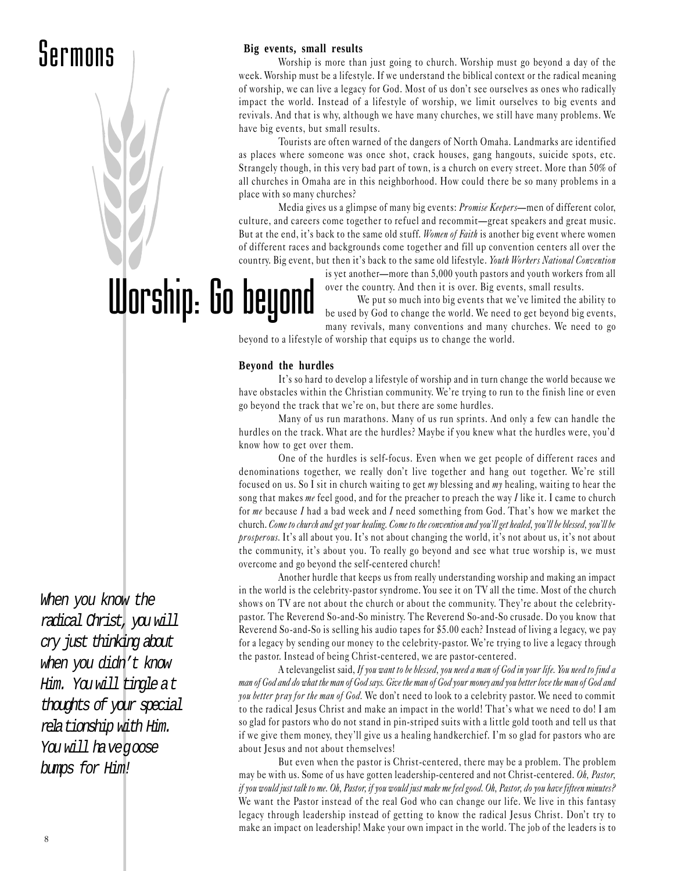### Sermons

# Worship: Go beyond

When you know the radical Christ, you will cry just thinking about when you didn't know Him. You will tingle at thoughts of your special relationship with Him.

You will have goose bumps for Him!

#### **Big events, small results**

Worship is more than just going to church. Worship must go beyond a day of the week. Worship must be a lifestyle. If we understand the biblical context or the radical meaning of worship, we can live a legacy for God. Most of us don't see ourselves as ones who radically impact the world. Instead of a lifestyle of worship, we limit ourselves to big events and revivals. And that is why, although we have many churches, we still have many problems. We have big events, but small results.

Tourists are often warned of the dangers of North Omaha. Landmarks are identified as places where someone was once shot, crack houses, gang hangouts, suicide spots, etc. Strangely though, in this very bad part of town, is a church on every street. More than 50% of all churches in Omaha are in this neighborhood. How could there be so many problems in a place with so many churches?

Media gives us a glimpse of many big events: *Promise Keepers*—men of different color, culture, and careers come together to refuel and recommit—great speakers and great music. But at the end, it's back to the same old stuff. Women of Faith is another big event where women of different races and backgrounds come together and fill up convention centers all over the country. Big event, but then it's back to the same old lifestyle. Youth Workers National Convention

is yet another-more than 5,000 youth pastors and youth workers from all over the country. And then it is over. Big events, small results.

We put so much into big events that we've limited the ability to be used by God to change the world. We need to get beyond big events, many revivals, many conventions and many churches. We need to go

beyond to a lifestyle of worship that equips us to change the world.

#### **Beyond the hurdles**

It's so hard to develop a lifestyle of worship and in turn change the world because we have obstacles within the Christian community. We're trying to run to the finish line or even go beyond the track that we're on, but there are some hurdles.

Many of us run marathons. Many of us run sprints. And only a few can handle the hurdles on the track. What are the hurdles? Maybe if you knew what the hurdles were, you'd know how to get over them.

One of the hurdles is self-focus. Even when we get people of different races and denominations together, we really don't live together and hang out together. We're still focused on us. So I sit in church waiting to get  $my$  blessing and  $my$  healing, waiting to hear the song that makes me feel good, and for the preacher to preach the way  $I$  like it. I came to church for me because I had a bad week and I need something from God. That's how we market the church. Come to church and get your healing. Come to the convention and you'll get healed, you'll be blessed, you'll be prosperous. It's all about you. It's not about changing the world, it's not about us, it's not about the community, it's about you. To really go beyond and see what true worship is, we must overcome and go beyond the self-centered church!

Another hurdle that keeps us from really understanding worship and making an impact in the world is the celebrity-pastor syndrome. You see it on TV all the time. Most of the church shows on TV are not about the church or about the community. They're about the celebritypastor. The Reverend So -and-So ministry. The Reverend So-and-So crusade. Do you know that Reverend So -and-So is selling his audio tapes for \$5.00 each? Instead of living a legacy, we pay for a legacy by sending our money to the celebrity-pastor. We're trying to live a legacy through the pastor. Instead of being Christ-centered, we are pastor-centered.

A televangelist said, If you want to be blessed, you need a man of God in your life. You need to find a man of God and do what the man of God says. Give the man of God your money and you better love the man of God and you better pray for the man of God. We don't need to look to a celebrity pastor. We need to commit to the radical Jesus Christ and make an impact in the world! That's what we need to do! I am so glad for pastors who do not stand in pin-striped suits with a little gold tooth and tell us that if we give them money, they'll give us a healing handkerchief. I'm so glad for pastors who are about Jesus and not about themselves!

But even when the pastor is Christ-centered, there may be a problem. The problem may be with us. Some of us have gotten leadership-centered and not Christ-centered. Oh, Pastor, if you would just talk to me. Oh, Pastor, if you would just make me feel good. Oh, Pastor, do you have fifteen minutes? We want the Pastor instead of the real God who can change our life. We live in this fantasy legacy through leadership instead of getting to know the radical Jesus Christ. Don't try to make an impact on leadership! Make your own impact in the world. The job of the leaders is to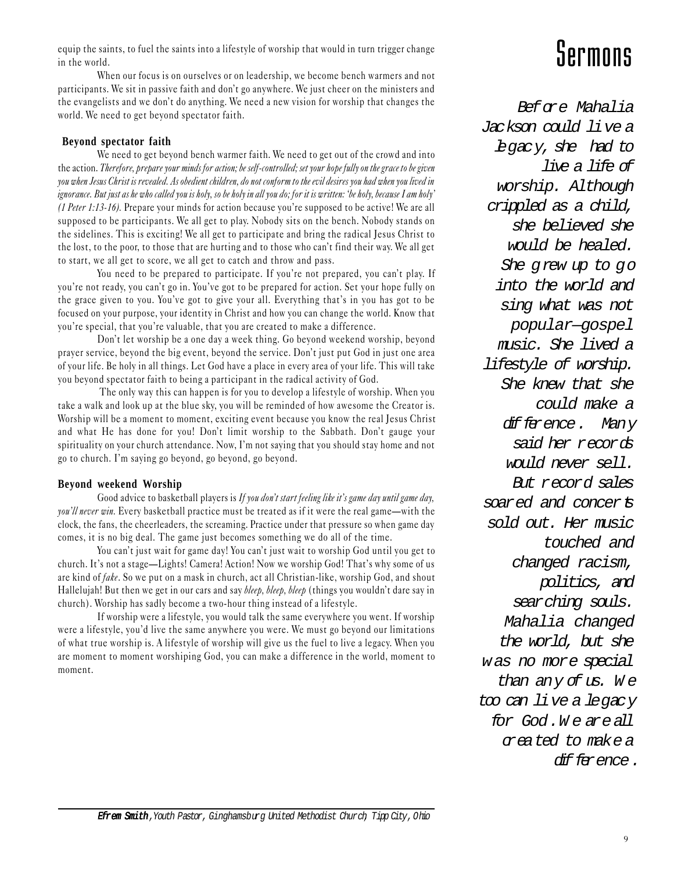equip the saints, to fuel the saints into a lifestyle of worship that would in turn trigger change in the world.

When our focus is on ourselves or on leadership, we become bench warmers and not participants. We sit in passive faith and don't go anywhere. We just cheer on the ministers and the evangelists and we don't do anything. We need a new vision for worship that changes the world. We need to get beyond spectator faith.

#### **Beyond spectator faith**

We need to get beyond bench warmer faith. We need to get out of the crowd and into the action. Therefore, prepare your minds for action; be self-controlled; set your hope fully on the grace to be given you when Jesus Christ is revealed. As obedient children, do not conform to the evil desires you had when you lived in ignorance. But just as he who called you is holy, so be holy in all you do; for it is written: 'be holy, because I am holy' (1 Peter 1:13-16). Prepare your minds for action because you're supposed to be active! We are all supposed to be participants. We all get to play. Nobody sits on the bench. Nobody stands on the sidelines. This is exciting! We all get to participate and bring the radical Jesus Christ to the lost, to the poor, to those that are hurting and to those who can't find their way. We all get to start, we all get to score, we all get to catch and throw and pass.

You need to be prepared to participate. If you're not prepared, you can't play. If you're not ready, you can't go in. You've got to be prepared for action. Set your hope fully on the grace given to you. You've got to give your all. Everything that's in you has got to be focused on your purpose, your identity in Christ and how you can change the world. Know that you're special, that you're valuable, that you are created to make a difference.

Don't let worship be a one day a week thing. Go beyond weekend worship, beyond prayer service, beyond the big event, beyond the service. Don't just put God in just one area of your life. Be holy in all things. Let God have a place in every area of your life. This will take you beyond spectator faith to being a participant in the radical activity of God.

 The only way this can happen is for you to develop a lifestyle of worship. When you take a walk and look up at the blue sky, you will be reminded of how awesome the Creator is. Worship will be a moment to moment, exciting event because you know the real Jesus Christ and what He has done for you! Don't limit worship to the Sabbath. Don't gauge your spirituality on your church attendance. Now, I'm not saying that you should stay home and not go to church. Im saying go beyond, go beyond, go beyond.

#### **Beyond weekend Worship**

Good advice to basketball players is If you don't start feeling like it's game day until game day, you'll never win. Every basketball practice must be treated as if it were the real game—with the clock, the fans, the cheerleaders, the screaming. Practice under that pressure so when game day comes, it is no big deal. The game just becomes something we do all of the time.

You can't just wait for game day! You can't just wait to worship God until you get to church. It's not a stage—Lights! Camera! Action! Now we worship God! That's why some of us are kind of fake. So we put on a mask in church, act all Christian-like, worship God, and shout Hallelujah! But then we get in our cars and say *bleep, bleep, bleep* (things you wouldn't dare say in church). Worship has sadly become a two-hour thing instead of a lifestyle.

If worship were a lifestyle, you would talk the same everywhere you went. If worship were a lifestyle, you'd live the same anywhere you were. We must go beyond our limitations of what true worship is. A lifestyle of worship will give us the fuel to live a legacy. When you are moment to moment worshiping God, you can make a difference in the world, moment to moment.

### Sermons

 $Bef$   $\alpha e$  Mahalia Jackson could live a legacy, she had to live a life of worship. Although crippled as a child, she believed she would be healed. She grew up to go into the world and sing what was not popular—gospel music. She lived a lifestyle of worship. She knew that she could make a difference. Many said her records would never sell. But record sales soared and concerts sold out. Her music touched and changed racism, politics, and searching souls. Mahalia changed the world, but she was no more special than any of  $us.$  We too can live a legacy for God. W e are all created to make a difference.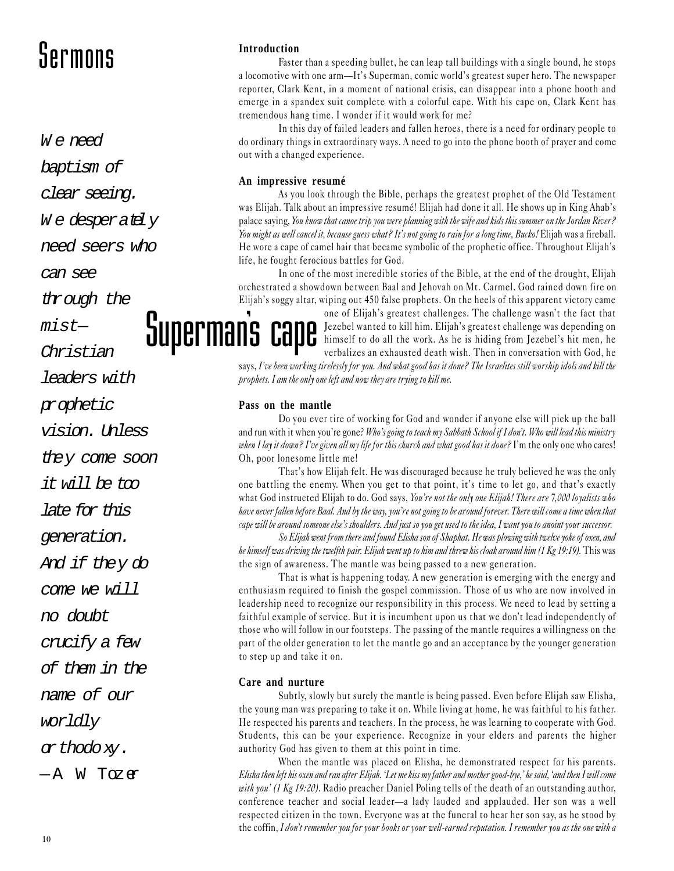### Sermons Introduction

 $W \in n \infty$ 

baptism of

clear seeing.

We desperately

need seers who

can see

through the

 $mistr-$ 

Christian

leaders with

prophetic

vision. Unless

they come soon

it will be too

late for this

generation.

And if they do

come we will

no doubt

crucify a few

of them in the

name of our

worldly

orthodoxy.

 $-A$  W Tozen

Faster than a speeding bullet, he can leap tall buildings with a single bound, he stops a locomotive with one arm—It's Superman, comic world's greatest super hero. The newspaper reporter, Clark Kent, in a moment of national crisis, can disappear into a phone booth and emerge in a spandex suit complete with a colorful cape. With his cape on, Clark Kent has tremendous hang time. I wonder if it would work for me?

In this day of failed leaders and fallen heroes, there is a need for ordinary people to do ordinary things in extraordinary ways. A need to go into the phone booth of prayer and come out with a changed experience.

#### **An impressive resumé**

As you look through the Bible, perhaps the greatest prophet of the Old Testament was Elijah. Talk about an impressive resumé! Elijah had done it all. He shows up in King Ahab's palace saying, You know that canoe trip you were planning with the wife and kids this summer on the Jordan River? You might as well cancel it, because guess what? It's not going to rain for a long time, Bucko! Elijah was a fireball. He wore a cape of camel hair that became symbolic of the prophetic office. Throughout Elijah's life, he fought ferocious battles for God.

In one of the most incredible stories of the Bible, at the end of the drought, Elijah orchestrated a showdown between Baal and Jehovah on Mt. Carmel. God rained down fire on Elijah's soggy altar, wiping out 450 false prophets. On the heels of this apparent victory came

> one of Elijah's greatest challenges. The challenge wasn't the fact that Jezebel wanted to kill him. Elijah's greatest challenge was depending on himself to do all the work. As he is hiding from Jezebel's hit men, he verbalizes an exhausted death wish. Then in conversation with God, he

says, I've been working tirelessly for you. And what good has it done? The Israelites still worship idols and kill the prophets. I am the only one left and now they are trying to kill me.

#### **Pass on the mantle**

Supermans

Do you ever tire of working for God and wonder if anyone else will pick up the ball and run with it when you're gone? Who's going to teach my Sabbath School if I don't. Who will lead this ministry when I lay it down? I've given all my life for this church and what good has it done? I'm the only one who cares! Oh, poor lonesome little me!

That's how Elijah felt. He was discouraged because he truly believed he was the only one battling the enemy. When you get to that point, it's time to let go, and that's exactly what God instructed Elijah to do. God says, You're not the only one Elijah! There are 7,000 loyalists who have never fallen before Baal. And by the way, you're not going to be around forever. There will come a time when that cape will be around someone else's shoulders. And just so you get used to the idea, I want you to anoint your successor.

So Elijah went from there and found Elisha son of Shaphat. He was plowing with twelve yoke of oxen, and he himself was driving the twelfth pair. Elijah went up to him and threw his cloak around him (1 Kg 19:19). This was the sign of awareness. The mantle was being passed to a new generation.

That is what is happening today. A new generation is emerging with the energy and enthusiasm required to finish the gospel commission. Those of us who are now involved in leadership need to recognize our responsibility in this process. We need to lead by setting a faithful example of service. But it is incumbent upon us that we don't lead independently of those who will follow in our footsteps. The passing of the mantle requires a willingness on the part of the older generation to let the mantle go and an acceptance by the younger generation to step up and take it on.

#### **Care and nurture**

Subtly, slowly but surely the mantle is being passed. Even before Elijah saw Elisha, the young man was preparing to take it on. While living at home, he was faithful to his father. He respected his parents and teachers. In the process, he was learning to cooperate with God. Students, this can be your experience. Recognize in your elders and parents the higher authority God has given to them at this point in time.

When the mantle was placed on Elisha, he demonstrated respect for his parents. Elisha then left his oxen and ran after Elijah. Let me kiss my father and mother good-bye,' he said, 'and then I will come with you' (1 Kg 19:20). Radio preacher Daniel Poling tells of the death of an outstanding author, conference teacher and social leader—a lady lauded and applauded. Her son was a well respected citizen in the town. Everyone was at the funeral to hear her son say, as he stood by the coffin, I don't remember you for your books or your well-earned reputation. I remember you as the one with a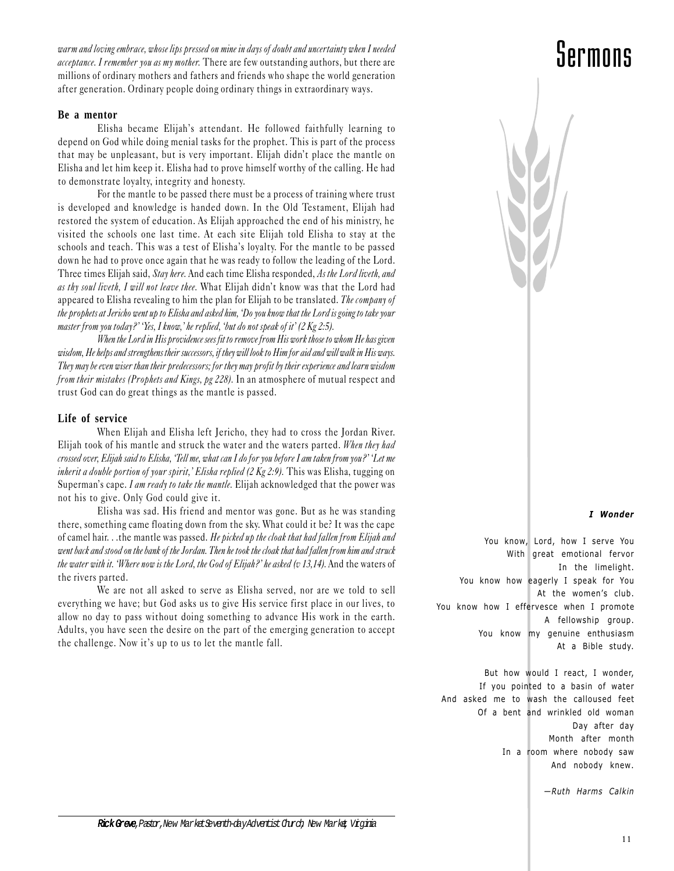warm and loving embrace, whose lips pressed on mine in days of doubt and uncertainty when I needed acceptance. I remember you as my mother. There are few outstanding authors, but there are millions of ordinary mothers and fathers and friends who shape the world generation after generation. Ordinary people doing ordinary things in extraordinary ways.

#### **Be a mentor**

Elisha became Elijah's attendant. He followed faithfully learning to depend on God while doing menial tasks for the prophet. This is part of the process that may be unpleasant, but is very important. Elijah didn't place the mantle on Elisha and let him keep it. Elisha had to prove himself worthy of the calling. He had to demonstrate loyalty, integrity and honesty.

For the mantle to be passed there must be a process of training where trust is developed and knowledge is handed down. In the Old Testament, Elijah had restored the system of education. As Elijah approached the end of his ministry, he visited the schools one last time. At each site Elijah told Elisha to stay at the schools and teach. This was a test of Elisha's loyalty. For the mantle to be passed down he had to prove once again that he was ready to follow the leading of the Lord. Three times Elijah said, Stay here. And each time Elisha responded, As the Lord liveth, and as thy soul liveth, I will not leave thee. What Elijah didn't know was that the Lord had appeared to Elisha revealing to him the plan for Elijah to be translated. The company of the prophets at Jericho went up to Elisha and asked him, Do you know that the Lord is going to take your master from you today?' 'Yes, I know,' he replied, 'but do not speak of it' (2 Kg 2:5).

When the Lord in His providence sees fit to remove from His work those to whom He has given wisdom, He helps and strengthens their successors, if they will look to Him for aid and will walk in His ways. They may be even wiser than their predecessors; for they may profit by their experience and learn wisdom from their mistakes (Prophets and Kings, pg 228). In an atmosphere of mutual respect and trust God can do great things as the mantle is passed.

#### **Life of service**

When Elijah and Elisha left Jericho, they had to cross the Jordan River. Elijah took of his mantle and struck the water and the waters parted. When they had crossed over, Elijah said to Elisha, Tell me, what can I do for you before I am taken from you? Let me inherit a double portion of your spirit,' Elisha replied (2 Kg 2:9). This was Elisha, tugging on Superman's cape. I am ready to take the mantle. Elijah acknowledged that the power was not his to give. Only God could give it.

Elisha was sad. His friend and mentor was gone. But as he was standing there, something came floating down from the sky. What could it be? It was the cape of camel hair. . .the mantle was passed. He picked up the cloak that had fallen from Elijah and went back and stood on the bank of the Jordan. Then he took the cloak that had fallen from him and struck the water with it. 'Where now is the Lord, the God of Elijah?' he asked (v 13,14). And the waters of the rivers parted.

We are not all asked to serve as Elisha served, nor are we told to sell everything we have; but God asks us to give His service first place in our lives, to allow no day to pass without doing something to advance His work in the earth. Adults, you have seen the desire on the part of the emerging generation to accept the challenge. Now it's up to us to let the mantle fall.

### Sermons



#### I Wonder

You know, Lord, how I serve You With great emotional fervor In the limelight. You know how eagerly I speak for You At the women's club. You know how I effervesce when I promote A fellowship group. You know my genuine enthusiasm At a Bible study.

But how would I react, I wonder, If you pointed to a basin of water And asked me to wash the calloused feet Of a bent and wrinkled old woman Day after day Month after month In a room where nobody saw And nobody knew.

 $-Ruth$  Harms Calkin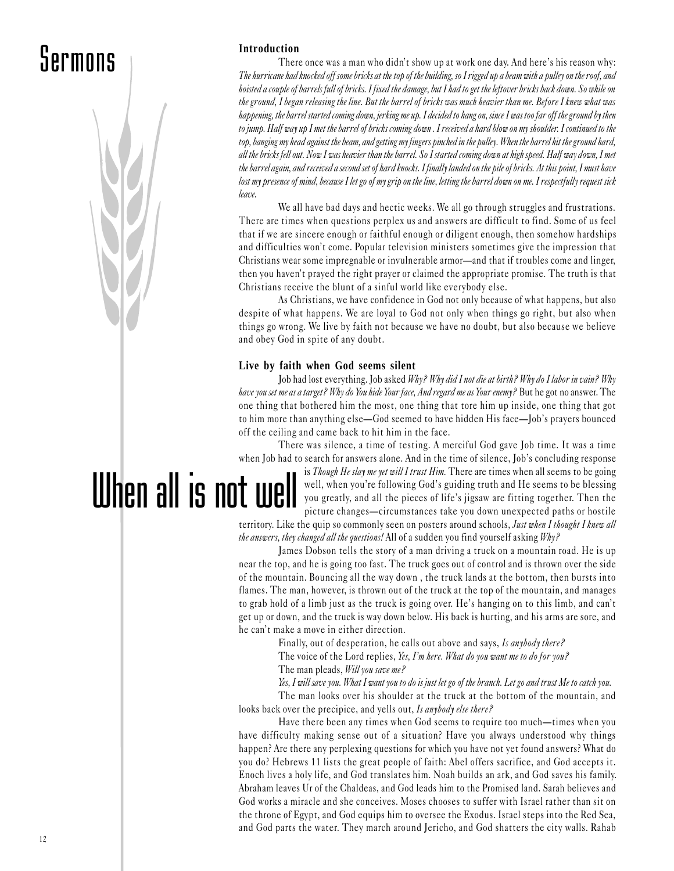### Sermons



There once was a man who didn't show up at work one day. And here's his reason why: The hurricane had knocked off some bricks at the top of the building, so I rigged up a beam with a pulley on the roof, and hoisted a couple of barrels full of bricks. I fixed the damage, but I had to get the leftover bricks back down. So while on the ground, I began releasing the line. But the barrel of bricks was much heavier than me. Before I knew what was happening, the barrel started coming down, jerking me up. I decided to hang on, since I was too far off the ground by then to jump. Half way up I met the barrel of bricks coming down . I received a hard blow on my shoulder. I continued to the top, banging my head against the beam, and getting my fingers pinched in the pulley. When the barrel hit the ground hard, all the bricks fell out. Now I was heavier than the barrel. So I started coming down at high speed. Half way down, I met the barrel again, and received a second set of hard knocks. I finally landed on the pile of bricks. At this point, I must have lost my presence of mind, because I let go of my grip on the line, letting the barrel down on me. I respectfully request sick leave.

We all have bad days and hectic weeks. We all go through struggles and frustrations. There are times when questions perplex us and answers are difficult to find. Some of us feel that if we are sincere enough or faithful enough or diligent enough, then somehow hardships and difficulties won't come. Popular television ministers sometimes give the impression that Christians wear some impregnable or invulnerable armor—and that if troubles come and linger, then you haven't prayed the right prayer or claimed the appropriate promise. The truth is that Christians receive the blunt of a sinful world like everybody else.

As Christians, we have confidence in God not only because of what happens, but also despite of what happens. We are loyal to God not only when things go right, but also when things go wrong. We live by faith not because we have no doubt, but also because we believe and obey God in spite of any doubt.

#### **Live by faith when God seems silent**

Job had lost everything. Job asked Why? Why did I not die at birth? Why do I labor in vain? Why have you set me as a target? Why do You hide Your face, And regard me as Your enemy? But he got no answer. The one thing that bothered him the most, one thing that tore him up inside, one thing that got to him more than anything else—God seemed to have hidden His face—Job's prayers bounced off the ceiling and came back to hit him in the face.

There was silence, a time of testing. A merciful God gave Job time. It was a time when Job had to search for answers alone. And in the time of silence, Job's concluding response

When all is not well is Though He slay me yet will I trust Him. There are times when all seems to be going well, when you're following God's guiding truth and He seems to be blessing you greatly, and all the pieces of life's jigsaw are fitting together. Then the picture changes—circumstances take you down unexpected paths or hostile

territory. Like the quip so commonly seen on posters around schools, Just when I thought I knew all the answers, they changed all the questions! All of a sudden you find yourself asking Why?

James Dobson tells the story of a man driving a truck on a mountain road. He is up near the top, and he is going too fast. The truck goes out of control and is thrown over the side of the mountain. Bouncing all the way down , the truck lands at the bottom, then bursts into flames. The man, however, is thrown out of the truck at the top of the mountain, and manages to grab hold of a limb just as the truck is going over. He's hanging on to this limb, and can't get up or down, and the truck is way down below. His back is hurting, and his arms are sore, and he can't make a move in either direction.

Finally, out of desperation, he calls out above and says, Is anybody there?

The voice of the Lord replies, Yes, I'm here. What do you want me to do for you?

The man pleads, Will you save me?

Yes, I will save you. What I want you to do is just let go of the branch. Let go and trust Me to catch you.

The man looks over his shoulder at the truck at the bottom of the mountain, and looks back over the precipice, and yells out, Is anybody else there?

Have there been any times when God seems to require too much—times when you have difficulty making sense out of a situation? Have you always understood why things happen? Are there any perplexing questions for which you have not yet found answers? What do you do? Hebrews 11 lists the great people of faith: Abel offers sacrifice, and God accepts it. Enoch lives a holy life, and God translates him. Noah builds an ark, and God saves his family. Abraham leaves Ur of the Chaldeas, and God leads him to the Promised land. Sarah believes and God works a miracle and she conceives. Moses chooses to suffer with Israel rather than sit on the throne of Egypt, and God equips him to oversee the Exodus. Israel steps into the Red Sea, and God parts the water. They march around Jericho, and God shatters the city walls. Rahab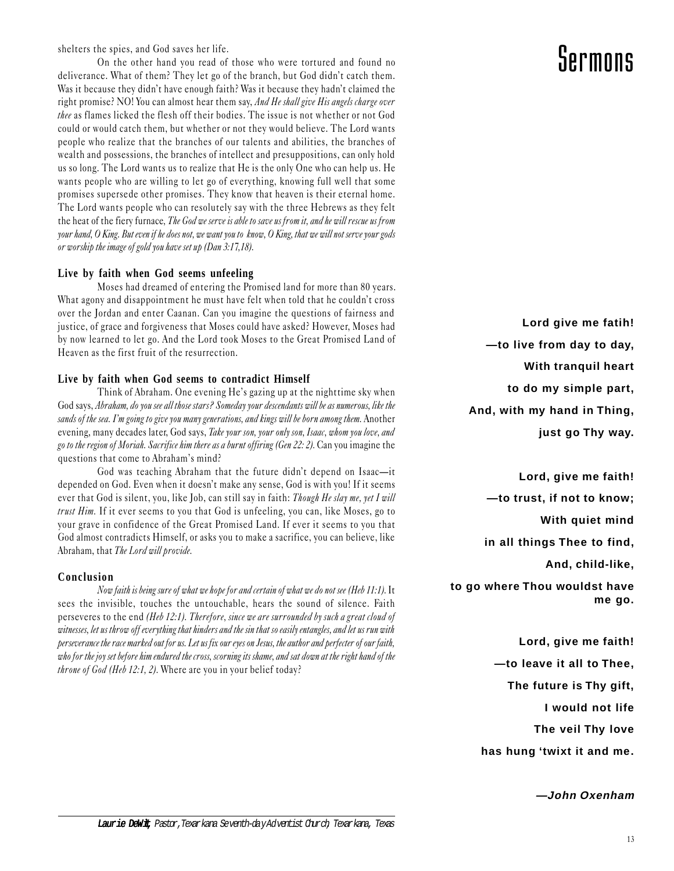shelters the spies, and God saves her life.

On the other hand you read of those who were tortured and found no deliverance. What of them? They let go of the branch, but God didn't catch them. Was it because they didn't have enough faith? Was it because they hadn't claimed the right promise? NO! You can almost hear them say, And He shall give His angels charge over thee as flames licked the flesh off their bodies. The issue is not whether or not God could or would catch them, but whether or not they would believe. The Lord wants people who realize that the branches of our talents and abilities, the branches of wealth and possessions, the branches of intellect and presuppositions, can only hold us so long. The Lord wants us to realize that He is the only One who can help us. He wants people who are willing to let go of everything, knowing full well that some promises supersede other promises. They know that heaven is their eternal home. The Lord wants people who can resolutely say with the three Hebrews as they felt the heat of the fiery furnace, The God we serve is able to save us from it, and he will rescue us from your hand, O King. But even if he does not, we want you to know, O King, that we will not serve your gods or worship the image of gold you have set up (Dan 3:17,18).

#### **Live by faith when God seems unfeeling**

Moses had dreamed of entering the Promised land for more than 80 years. What agony and disappointment he must have felt when told that he couldn't cross over the Jordan and enter Caanan. Can you imagine the questions of fairness and justice, of grace and forgiveness that Moses could have asked? However, Moses had by now learned to let go. And the Lord took Moses to the Great Promised Land of Heaven as the first fruit of the resurrection.

#### **Live by faith when God seems to contradict Himself**

Think of Abraham. One evening He's gazing up at the nighttime sky when God says, Abraham, do you see all those stars? Someday your descendants will be as numerous, like the sands of the sea. I'm going to give you many generations, and kings will be born among them. Another evening, many decades later, God says, Take your son, your only son, Isaac, whom you love, and go to the region of Moriah. Sacrifice him there as a burnt offiring (Gen 22: 2). Can you imagine the questions that come to Abraham's mind?

God was teaching Abraham that the future didn't depend on Isaac-it depended on God. Even when it doesn't make any sense, God is with you! If it seems ever that God is silent, you, like Job, can still say in faith: Though He slay me, yet I will trust Him. If it ever seems to you that God is unfeeling, you can, like Moses, go to your grave in confidence of the Great Promised Land. If ever it seems to you that God almost contradicts Himself, or asks you to make a sacrifice, you can believe, like Abraham, that The Lord will provide.

#### **Conclusion**

Now faith is being sure of what we hope for and certain of what we do not see (Heb 11:1). It sees the invisible, touches the untouchable, hears the sound of silence. Faith perseveres to the end (Heb 12:1). Therefore, since we are surrounded by such a great cloud of witnesses, let us throw off everything that hinders and the sin that so easily entangles, and let us run with perseverance the race marked out for us. Let us fix our eyes on Jesus, the author and perfecter of our faith, who for the joy set before him endured the cross, scorning its shame, and sat down at the right hand of the throne of God (Heb 12:1, 2). Where are you in your belief today?

### Sermons

**Lord give me fatih! —to live from day to day, With tranquil heart to do my simple part, And, with my hand in Thing, just go Thy way.**

**Lord, give me faith! —to trust, if not to know; With quiet mind in all things Thee to find, And, child-like, to go where Thou wouldst have me go.**

> **Lord, give me faith! —to leave it all to Thee, The future is Thy gift, I would not life The veil Thy love has hung 'twixt it and me.**

> > **—John Oxenham**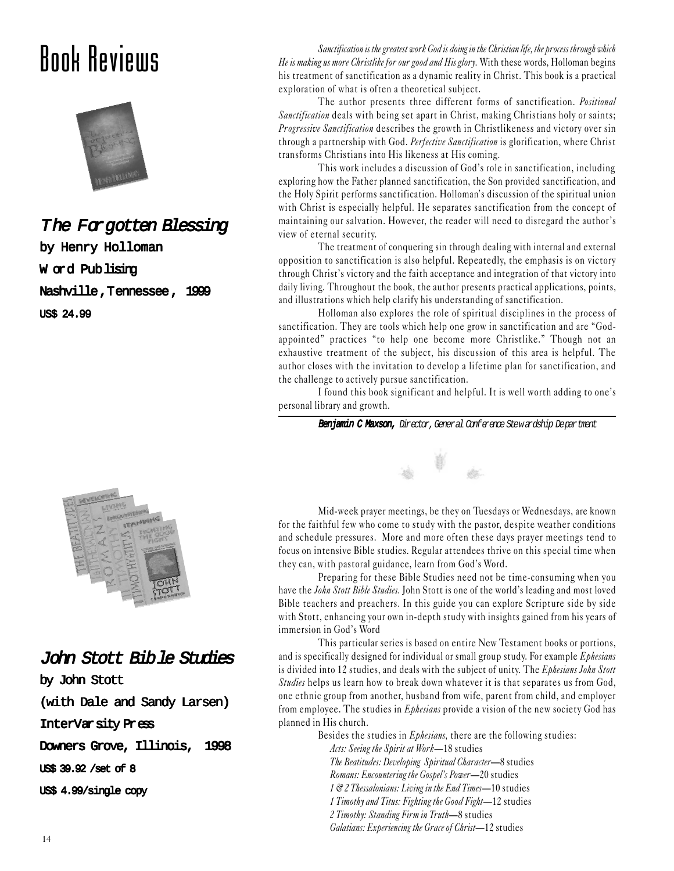### Book Reviews



#### The Forgotten Blessing

by Henry Holloman W ord Publising Nashville,Tennessee, 1999

US\$ 24.99



### John Stott Bible Studies by John Stott (with Dale and Sandy Larsen) InterVarsity Press Downers Grove, Illinois, 1998 US\$ 39.92 /set of 8 US\$ 4.99/single copy

Sanctification is the greatest work God is doing in the Christian life, the process through which He is making us more Christlike for our good and His glory. With these words, Holloman begins his treatment of sanctification as a dynamic reality in Christ. This book is a practical exploration of what is often a theoretical subject.

The author presents three different forms of sanctification. Positional Sanctification deals with being set apart in Christ, making Christians holy or saints; Progressive Sanctification describes the growth in Christlikeness and victory over sin through a partnership with God. Perfective Sanctification is glorification, where Christ transforms Christians into His likeness at His coming.

This work includes a discussion of God's role in sanctification, including exploring how the Father planned sanctification, the Son provided sanctification, and the Holy Spirit performs sanctification. Holloman's discussion of the spiritual union with Christ is especially helpful. He separates sanctification from the concept of maintaining our salvation. However, the reader will need to disregard the author's view of eternal security.

The treatment of conquering sin through dealing with internal and external opposition to sanctification is also helpful. Repeatedly, the emphasis is on victory through Christ's victory and the faith acceptance and integration of that victory into daily living. Throughout the book, the author presents practical applications, points, and illustrations which help clarify his understanding of sanctification.

Holloman also explores the role of spiritual disciplines in the process of sanctification. They are tools which help one grow in sanctification and are "Godappointed" practices "to help one become more Christlike." Though not an exhaustive treatment of the subject, his discussion of this area is helpful. The author closes with the invitation to develop a lifetime plan for sanctification, and the challenge to actively pursue sanctification.

I found this book significant and helpful. It is well worth adding to one's personal library and growth.

Benjamin C Maxson, Director, General Conference Stewardship Department

Mid-week prayer meetings, be they on Tuesdays or Wednesdays, are known for the faithful few who come to study with the pastor, despite weather conditions and schedule pressures. More and more often these days prayer meetings tend to focus on intensive Bible studies. Regular attendees thrive on this special time when they can, with pastoral guidance, learn from God's Word.

Preparing for these Bible Studies need not be time-consuming when you have the John Stott Bible Studies. John Stott is one of the world's leading and most loved Bible teachers and preachers. In this guide you can explore Scripture side by side with Stott, enhancing your own in-depth study with insights gained from his years of immersion in God's Word

This particular series is based on entire New Testament books or portions, and is specifically designed for individual or small group study. For example  $Ephesians$ is divided into 12 studies, and deals with the subject of unity. The *Ephesians John Stott* Studies helps us learn how to break down whatever it is that separates us from God, one ethnic group from another, husband from wife, parent from child, and employer from employee. The studies in *Ephesians* provide a vision of the new society God has planned in His church.

> Besides the studies in *Ephesians*, there are the following studies: Acts: Seeing the Spirit at Work-18 studies The Beatitudes: Developing Spiritual Character-8 studies Romans: Encountering the Gospel's Power-20 studies 1 & 2 Thessalonians: Living in the End Times-10 studies 1 Timothy and Titus: Fighting the Good Fight-12 studies 2 Timothy: Standing Firm in Truth-8 studies Galatians: Experiencing the Grace of Christ-12 studies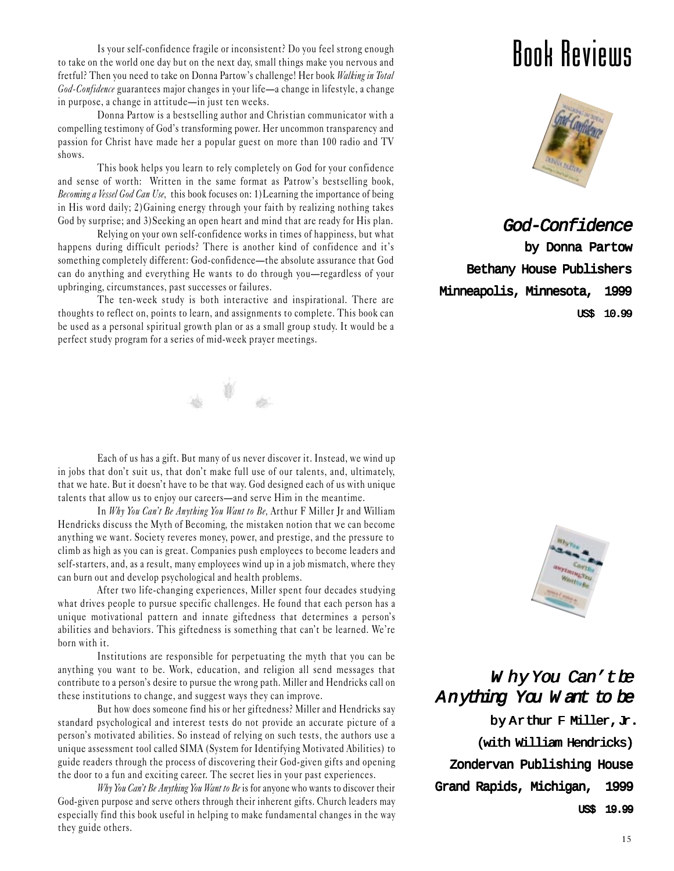Is your self-confidence fragile or inconsistent? Do you feel strong enough to take on the world one day but on the next day, small things make you nervous and fretful? Then you need to take on Donna Partow's challenge! Her book Walking in Total God-Confidence guarantees major changes in your life-a change in lifestyle, a change in purpose, a change in attitude—in just ten weeks.

Donna Partow is a bestselling author and Christian communicator with a compelling testimony of God's transforming power. Her uncommon transparency and passion for Christ have made her a popular guest on more than 100 radio and TV shows.

This book helps you learn to rely completely on God for your confidence and sense of worth: Written in the same format as Patrow's bestselling book, Becoming a Vessel God Can Use, this book focuses on: 1) Learning the importance of being in His word daily; 2)Gaining energy through your faith by realizing nothing takes God by surprise; and 3)Seeking an open heart and mind that are ready for His plan.

Relying on your own self-confidence works in times of happiness, but what happens during difficult periods? There is another kind of confidence and it's something completely different: God-confidence-the absolute assurance that God can do anything and everything He wants to do through you—regardless of your upbringing, circumstances, past successes or failures.

The ten-week study is both interactive and inspirational. There are thoughts to reflect on, points to learn, and assignments to complete. This book can be used as a personal spiritual growth plan or as a small group study. It would be a perfect study program for a series of mid-week prayer meetings.



Each of us has a gift. But many of us never discover it. Instead, we wind up in jobs that don't suit us, that don't make full use of our talents, and, ultimately, that we hate. But it doesn't have to be that way. God designed each of us with unique talents that allow us to enjoy our careers—and serve Him in the meantime.

In Why You Can't Be Anything You Want to Be, Arthur F Miller Jr and William Hendricks discuss the Myth of Becoming, the mistaken notion that we can become anything we want. Society reveres money, power, and prestige, and the pressure to climb as high as you can is great. Companies push employees to become leaders and self-starters, and, as a result, many employees wind up in a job mismatch, where they can burn out and develop psychological and health problems.

After two life-changing experiences, Miller spent four decades studying what drives people to pursue specific challenges. He found that each person has a unique motivational pattern and innate giftedness that determines a person's abilities and behaviors. This giftedness is something that can't be learned. We're born with it.

Institutions are responsible for perpetuating the myth that you can be anything you want to be. Work, education, and religion all send messages that contribute to a person's desire to pursue the wrong path. Miller and Hendricks call on these institutions to change, and suggest ways they can improve.

But how does someone find his or her giftedness? Miller and Hendricks say standard psychological and interest tests do not provide an accurate picture of a person's motivated abilities. So instead of relying on such tests, the authors use a unique assessment tool called SIMA (System for Identifying Motivated Abilities) to guide readers through the process of discovering their God-given gifts and opening the door to a fun and exciting career. The secret lies in your past experiences.

Why You Can't Be Anything You Want to Be is for anyone who wants to discover their God-given purpose and serve others through their inherent gifts. Church leaders may especially find this book useful in helping to make fundamental changes in the way they guide others.

### Book Reviews



God-Confidence

 by Donna Partow Bethany House Publishers Minneapolis, Minnesota, 1999 US\$ 10.99



#### Why You Can't be Anything You W ant to be

by Arthur F Miller, Jr. (with William Hendricks) Zondervan Publishing House Grand Rapids, Michigan, 1999 US\$ 19.99